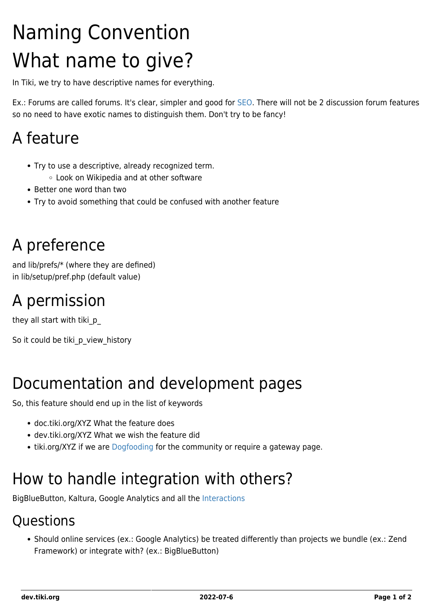# Naming Convention What name to give?

In Tiki, we try to have descriptive names for everything.

Ex.: Forums are called forums. It's clear, simpler and good for [SEO.](https://dev.tiki.org/SEO) There will not be 2 discussion forum features so no need to have exotic names to distinguish them. Don't try to be fancy!

### A feature

- Try to use a descriptive, already recognized term.
	- Look on Wikipedia and at other software
- Better one word than two
- Try to avoid something that could be confused with another feature

### A preference

and lib/prefs/\* (where they are defined) in lib/setup/pref.php (default value)

### A permission

they all start with tiki\_p\_

So it could be tiki p view history

### Documentation and development pages

So, this feature should end up in the list of keywords

- doc.tiki.org/XYZ What the feature does
- dev.tiki.org/XYZ What we wish the feature did
- tiki.org/XYZ if we are [Dogfooding](http://tiki.org/Dogfooding) for the community or require a gateway page.

### How to handle integration with others?

BigBlueButton, Kaltura, Google Analytics and all the [Interactions](http://doc.tiki.org/Interactions)

#### **Ouestions**

Should online services (ex.: Google Analytics) be treated differently than projects we bundle (ex.: Zend Framework) or integrate with? (ex.: BigBlueButton)